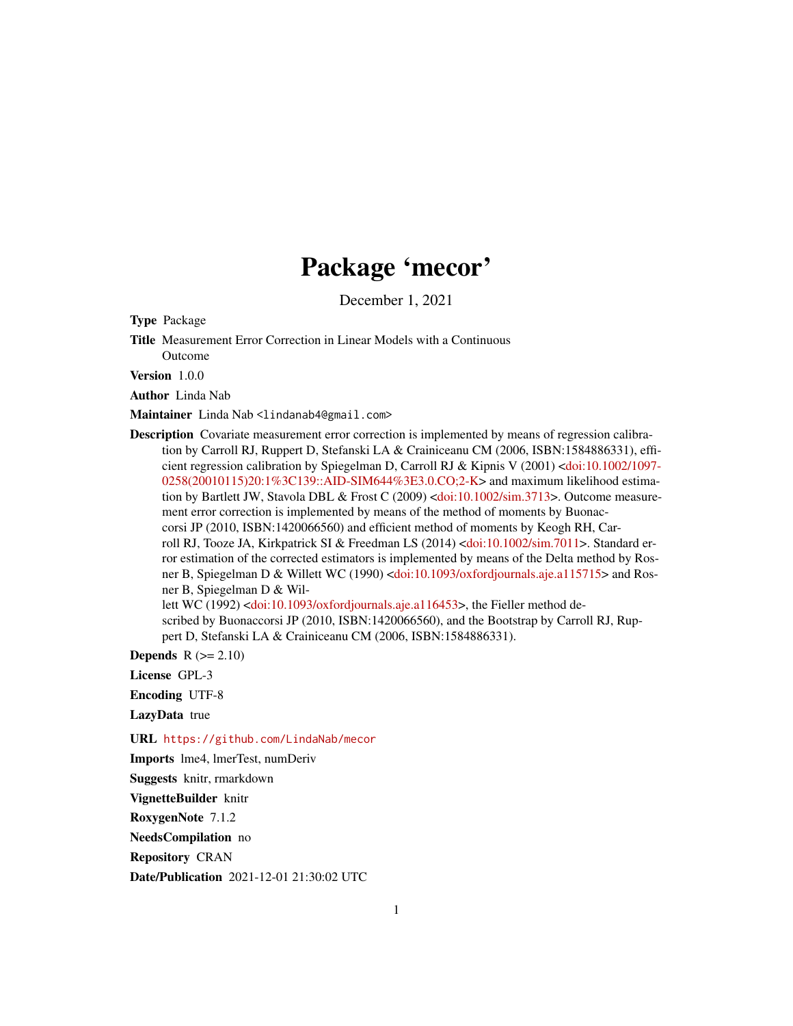# Package 'mecor'

December 1, 2021

<span id="page-0-0"></span>Type Package

Title Measurement Error Correction in Linear Models with a Continuous Outcome

Version 1.0.0

Author Linda Nab

Maintainer Linda Nab <lindanab4@gmail.com>

Description Covariate measurement error correction is implemented by means of regression calibration by Carroll RJ, Ruppert D, Stefanski LA & Crainiceanu CM (2006, ISBN:1584886331), efficient regression calibration by Spiegelman D, Carroll RJ & Kipnis V (2001) [<doi:10.1002/1097-](https://doi.org/10.1002/1097-0258(20010115)20:1%3C139::AID-SIM644%3E3.0.CO;2-K) [0258\(20010115\)20:1%3C139::AID-SIM644%3E3.0.CO;2-K>](https://doi.org/10.1002/1097-0258(20010115)20:1%3C139::AID-SIM644%3E3.0.CO;2-K) and maximum likelihood estimation by Bartlett JW, Stavola DBL & Frost C (2009) [<doi:10.1002/sim.3713>](https://doi.org/10.1002/sim.3713). Outcome measurement error correction is implemented by means of the method of moments by Buonaccorsi JP (2010, ISBN:1420066560) and efficient method of moments by Keogh RH, Carroll RJ, Tooze JA, Kirkpatrick SI & Freedman LS (2014) [<doi:10.1002/sim.7011>](https://doi.org/10.1002/sim.7011). Standard error estimation of the corrected estimators is implemented by means of the Delta method by Ros-ner B, Spiegelman D & Willett WC (1990) [<doi:10.1093/oxfordjournals.aje.a115715>](https://doi.org/10.1093/oxfordjournals.aje.a115715) and Rosner B, Spiegelman D & Wil-lett WC (1992) [<doi:10.1093/oxfordjournals.aje.a116453>](https://doi.org/10.1093/oxfordjournals.aje.a116453), the Fieller method described by Buonaccorsi JP (2010, ISBN:1420066560), and the Bootstrap by Carroll RJ, Rup-

pert D, Stefanski LA & Crainiceanu CM (2006, ISBN:1584886331).

Depends  $R (= 2.10)$ 

License GPL-3

Encoding UTF-8

LazyData true

URL <https://github.com/LindaNab/mecor>

Imports lme4, lmerTest, numDeriv

Suggests knitr, rmarkdown

VignetteBuilder knitr

RoxygenNote 7.1.2

NeedsCompilation no

Repository CRAN

Date/Publication 2021-12-01 21:30:02 UTC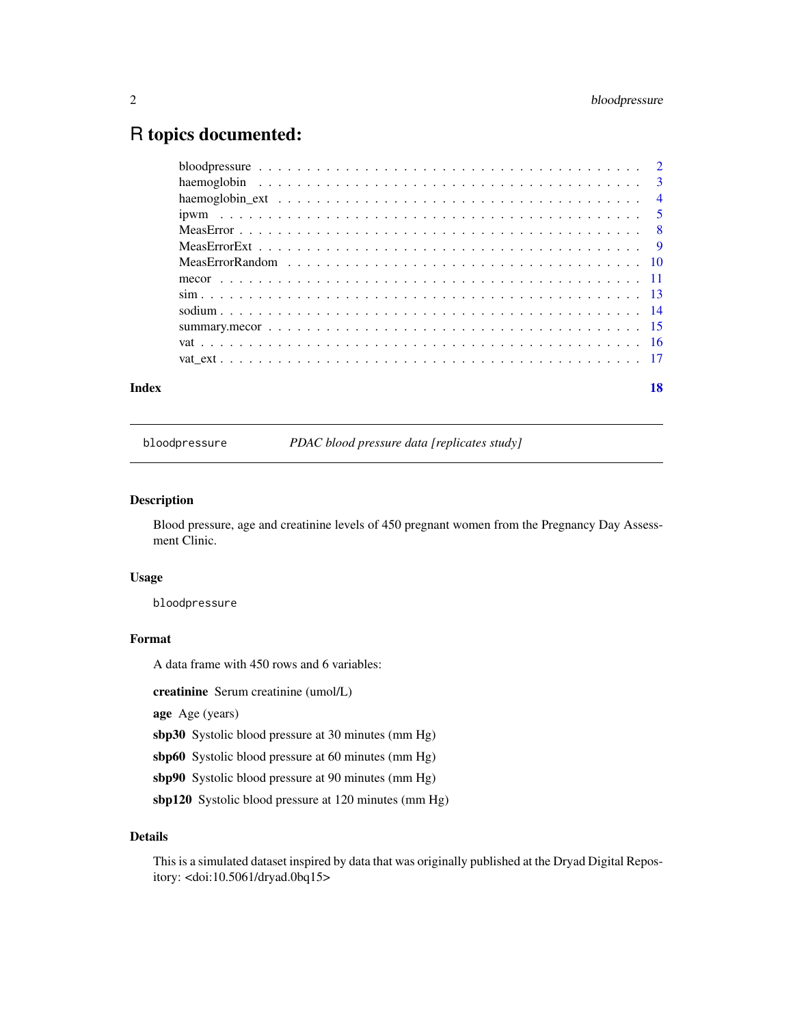# <span id="page-1-0"></span>R topics documented:

bloodpressure *PDAC blood pressure data [replicates study]*

# Description

Blood pressure, age and creatinine levels of 450 pregnant women from the Pregnancy Day Assessment Clinic.

# Usage

bloodpressure

#### Format

A data frame with 450 rows and 6 variables:

creatinine Serum creatinine (umol/L)

age Age (years)

sbp30 Systolic blood pressure at 30 minutes (mm Hg)

sbp60 Systolic blood pressure at 60 minutes (mm Hg)

sbp90 Systolic blood pressure at 90 minutes (mm Hg)

sbp120 Systolic blood pressure at 120 minutes (mm Hg)

# Details

This is a simulated dataset inspired by data that was originally published at the Dryad Digital Repository: <doi:10.5061/dryad.0bq15>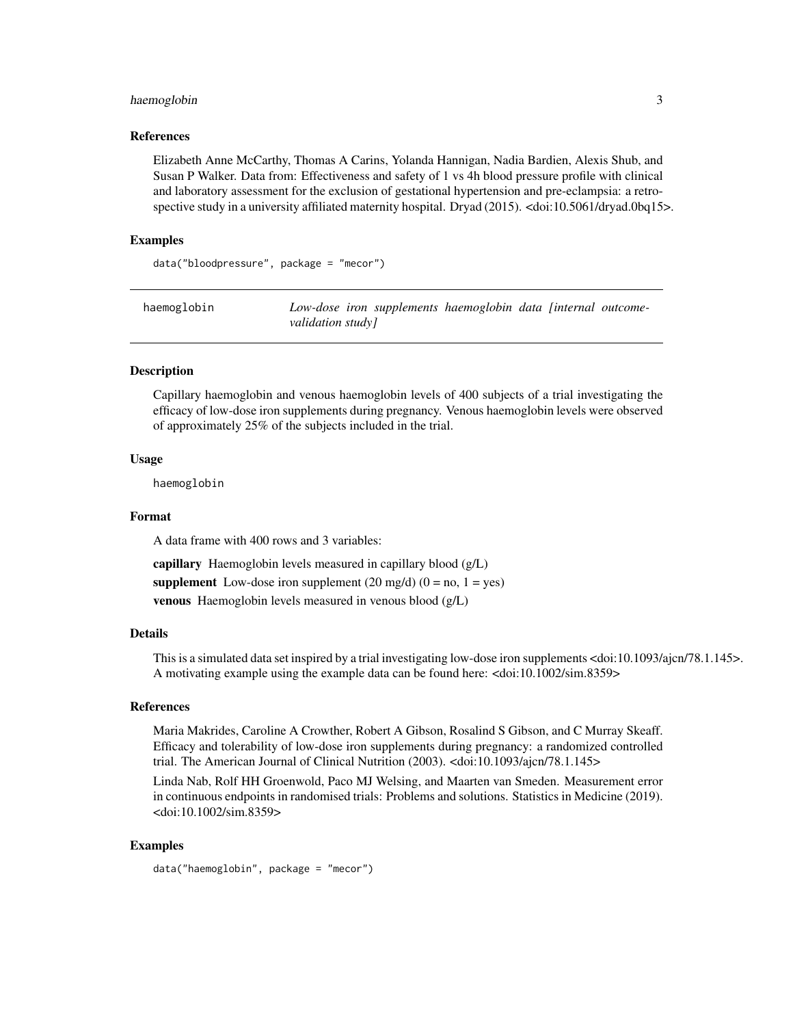# <span id="page-2-0"></span>haemoglobin 3

#### References

Elizabeth Anne McCarthy, Thomas A Carins, Yolanda Hannigan, Nadia Bardien, Alexis Shub, and Susan P Walker. Data from: Effectiveness and safety of 1 vs 4h blood pressure profile with clinical and laboratory assessment for the exclusion of gestational hypertension and pre-eclampsia: a retrospective study in a university affiliated maternity hospital. Dryad (2015). <doi:10.5061/dryad.0bq15>.

#### Examples

data("bloodpressure", package = "mecor")

| haemoglobin |                   | Low-dose iron supplements haemoglobin data [internal outcome- |  |  |
|-------------|-------------------|---------------------------------------------------------------|--|--|
|             | validation study] |                                                               |  |  |

# Description

Capillary haemoglobin and venous haemoglobin levels of 400 subjects of a trial investigating the efficacy of low-dose iron supplements during pregnancy. Venous haemoglobin levels were observed of approximately 25% of the subjects included in the trial.

#### Usage

haemoglobin

#### Format

A data frame with 400 rows and 3 variables:

capillary Haemoglobin levels measured in capillary blood (g/L) supplement Low-dose iron supplement  $(20 \text{ mg/d}) (0 = \text{no}, 1 = \text{yes})$ venous Haemoglobin levels measured in venous blood (g/L)

# Details

This is a simulated data set inspired by a trial investigating low-dose iron supplements <doi:10.1093/ajcn/78.1.145>. A motivating example using the example data can be found here: <doi:10.1002/sim.8359>

#### References

Maria Makrides, Caroline A Crowther, Robert A Gibson, Rosalind S Gibson, and C Murray Skeaff. Efficacy and tolerability of low-dose iron supplements during pregnancy: a randomized controlled trial. The American Journal of Clinical Nutrition (2003). <doi:10.1093/ajcn/78.1.145>

Linda Nab, Rolf HH Groenwold, Paco MJ Welsing, and Maarten van Smeden. Measurement error in continuous endpoints in randomised trials: Problems and solutions. Statistics in Medicine (2019). <doi:10.1002/sim.8359>

#### Examples

data("haemoglobin", package = "mecor")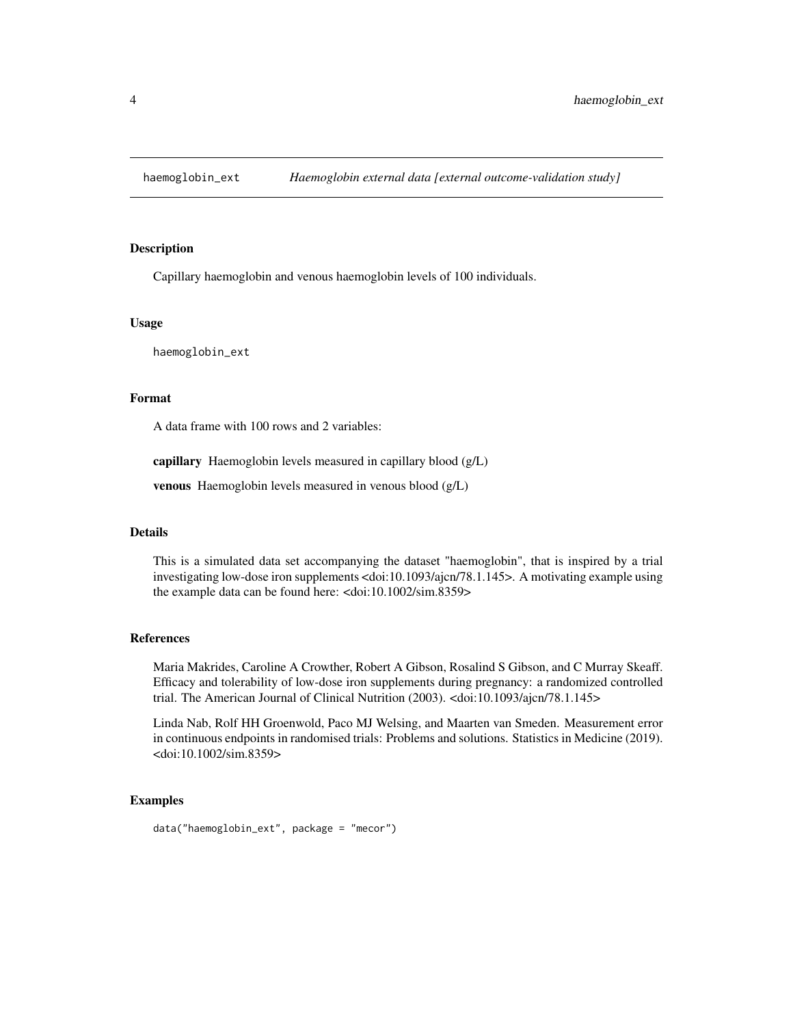<span id="page-3-0"></span>

Capillary haemoglobin and venous haemoglobin levels of 100 individuals.

#### Usage

haemoglobin\_ext

# Format

A data frame with 100 rows and 2 variables:

capillary Haemoglobin levels measured in capillary blood (g/L)

venous Haemoglobin levels measured in venous blood (g/L)

# Details

This is a simulated data set accompanying the dataset "haemoglobin", that is inspired by a trial investigating low-dose iron supplements <doi:10.1093/ajcn/78.1.145>. A motivating example using the example data can be found here: <doi:10.1002/sim.8359>

#### References

Maria Makrides, Caroline A Crowther, Robert A Gibson, Rosalind S Gibson, and C Murray Skeaff. Efficacy and tolerability of low-dose iron supplements during pregnancy: a randomized controlled trial. The American Journal of Clinical Nutrition (2003). <doi:10.1093/ajcn/78.1.145>

Linda Nab, Rolf HH Groenwold, Paco MJ Welsing, and Maarten van Smeden. Measurement error in continuous endpoints in randomised trials: Problems and solutions. Statistics in Medicine (2019). <doi:10.1002/sim.8359>

```
data("haemoglobin_ext", package = "mecor")
```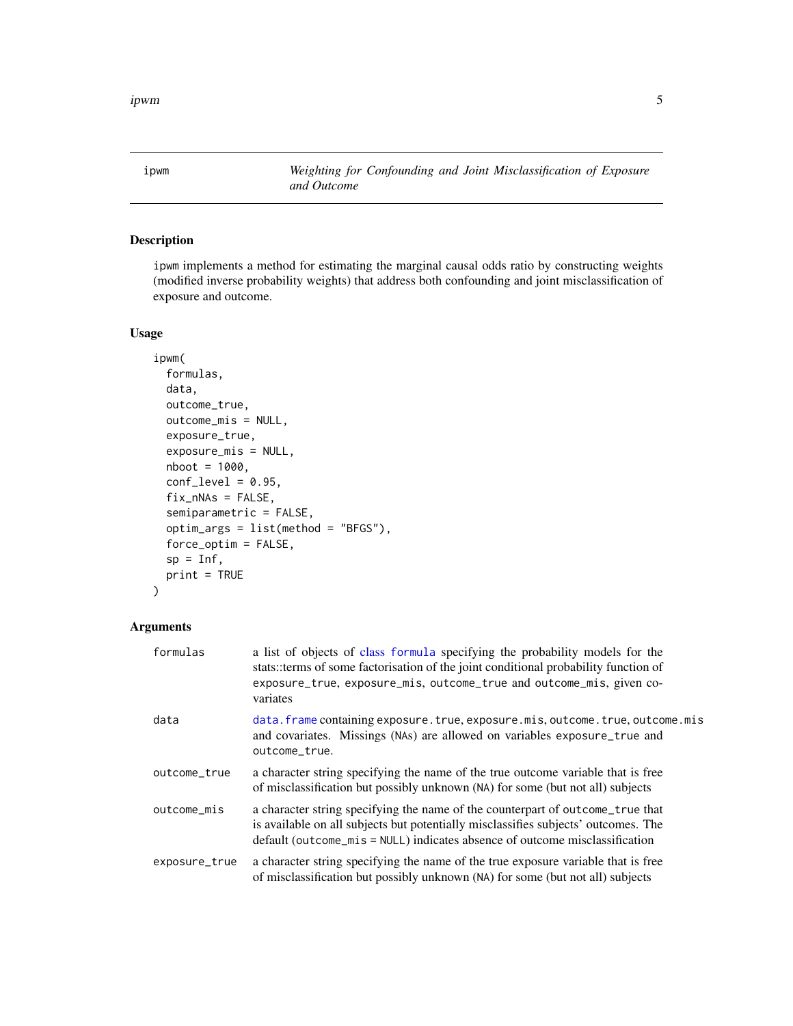<span id="page-4-1"></span><span id="page-4-0"></span>ipwm *Weighting for Confounding and Joint Misclassification of Exposure and Outcome*

# Description

ipwm implements a method for estimating the marginal causal odds ratio by constructing weights (modified inverse probability weights) that address both confounding and joint misclassification of exposure and outcome.

# Usage

```
ipwm(
  formulas,
  data,
 outcome_true,
 outcome_mis = NULL,
  exposure_true,
  exposure_mis = NULL,
 nboot = 1000,
  conf\_level = 0.95,
  fix_nNAs = FALSE,
  semiparametric = FALSE,
  optim_args = list(method = "BFGS"),
  force_optim = FALSE,
  sp = Inf,print = TRUE
\mathcal{L}
```
# Arguments

| formulas      | a list of objects of class formula specifying the probability models for the<br>stats::terms of some factorisation of the joint conditional probability function of<br>exposure_true, exposure_mis, outcome_true and outcome_mis, given co-<br>variates |
|---------------|---------------------------------------------------------------------------------------------------------------------------------------------------------------------------------------------------------------------------------------------------------|
| data          | data. frame containing exposure. true, exposure. mis, outcome. true, outcome. mis<br>and covariates. Missings (NAs) are allowed on variables exposure_true and<br>outcome_true.                                                                         |
| outcome_true  | a character string specifying the name of the true outcome variable that is free<br>of misclassification but possibly unknown (NA) for some (but not all) subjects                                                                                      |
| outcome_mis   | a character string specifying the name of the counterpart of outcome_true that<br>is available on all subjects but potentially misclassifies subjects' outcomes. The<br>default (outcome_mis = NULL) indicates absence of outcome misclassification     |
| exposure_true | a character string specifying the name of the true exposure variable that is free<br>of misclassification but possibly unknown (NA) for some (but not all) subjects                                                                                     |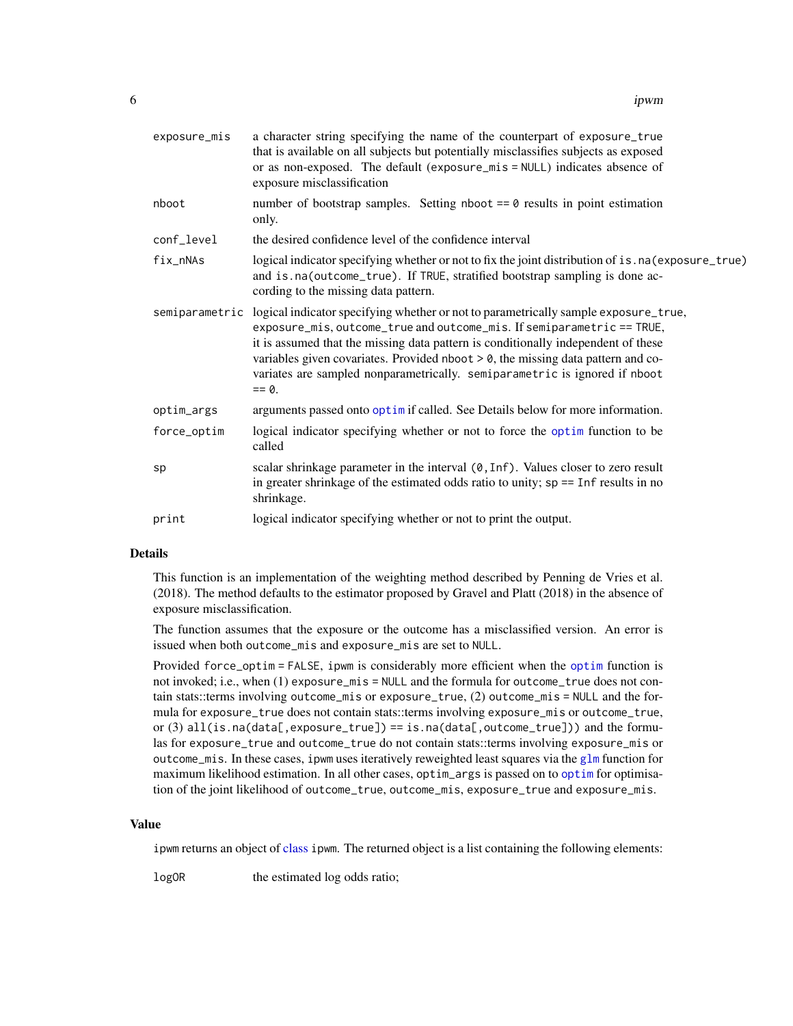<span id="page-5-0"></span>

| exposure_mis | a character string specifying the name of the counterpart of exposure_true<br>that is available on all subjects but potentially misclassifies subjects as exposed<br>or as non-exposed. The default (exposure_mis = NULL) indicates absence of<br>exposure misclassification                                                                                                                                                                               |
|--------------|------------------------------------------------------------------------------------------------------------------------------------------------------------------------------------------------------------------------------------------------------------------------------------------------------------------------------------------------------------------------------------------------------------------------------------------------------------|
| nboot        | number of bootstrap samples. Setting nboot $== 0$ results in point estimation<br>only.                                                                                                                                                                                                                                                                                                                                                                     |
| conf_level   | the desired confidence level of the confidence interval                                                                                                                                                                                                                                                                                                                                                                                                    |
| fix_nNAs     | logical indicator specifying whether or not to fix the joint distribution of is.na(exposure_true)<br>and is.na(outcome_true). If TRUE, stratified bootstrap sampling is done ac-<br>cording to the missing data pattern.                                                                                                                                                                                                                                   |
|              | semiparametric logical indicator specifying whether or not to parametrically sample exposure_true,<br>exposure_mis, outcome_true and outcome_mis. If semiparametric == TRUE,<br>it is assumed that the missing data pattern is conditionally independent of these<br>variables given covariates. Provided nboot $> 0$ , the missing data pattern and co-<br>variates are sampled nonparametrically. semiparametric is ignored if nboot<br>$== \emptyset$ . |
| optim_args   | arguments passed onto optimit called. See Details below for more information.                                                                                                                                                                                                                                                                                                                                                                              |
| force_optim  | logical indicator specifying whether or not to force the optim function to be<br>called                                                                                                                                                                                                                                                                                                                                                                    |
| sp           | scalar shrinkage parameter in the interval (0, Inf). Values closer to zero result<br>in greater shrinkage of the estimated odds ratio to unity; $sp == Inf$ results in no<br>shrinkage.                                                                                                                                                                                                                                                                    |
| print        | logical indicator specifying whether or not to print the output.                                                                                                                                                                                                                                                                                                                                                                                           |

#### Details

This function is an implementation of the weighting method described by Penning de Vries et al. (2018). The method defaults to the estimator proposed by Gravel and Platt (2018) in the absence of exposure misclassification.

The function assumes that the exposure or the outcome has a misclassified version. An error is issued when both outcome\_mis and exposure\_mis are set to NULL.

Provided force\_optim = FALSE, ipwm is considerably more efficient when the [optim](#page-0-0) function is not invoked; i.e., when (1) exposure\_mis = NULL and the formula for outcome\_true does not contain stats::terms involving outcome\_mis or exposure\_true, (2) outcome\_mis = NULL and the formula for exposure\_true does not contain stats::terms involving exposure\_mis or outcome\_true, or (3) all(is.na(data[,exposure\_true]) == is.na(data[,outcome\_true])) and the formulas for exposure\_true and outcome\_true do not contain stats::terms involving exposure\_mis or outcome\_mis. In these cases, ipwm uses iteratively reweighted least squares via the [glm](#page-0-0) function for maximum likelihood estimation. In all other cases, optim\_args is passed on to [optim](#page-0-0) for optimisation of the joint likelihood of outcome\_true, outcome\_mis, exposure\_true and exposure\_mis.

#### Value

ipwm returns an object of [class](#page-0-0) ipwm. The returned object is a list containing the following elements:

logOR the estimated log odds ratio;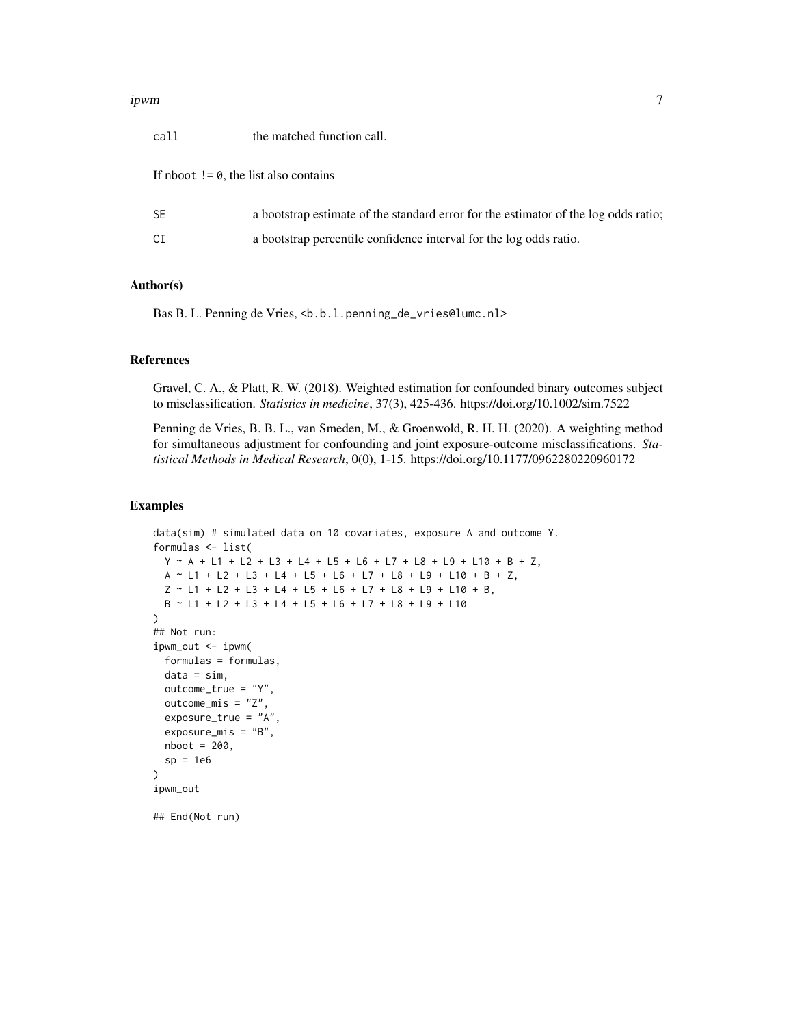#### ipwm  $\,$

| call                                             | the matched function call.                                                          |
|--------------------------------------------------|-------------------------------------------------------------------------------------|
| If nboot $!= \emptyset$ , the list also contains |                                                                                     |
| <b>SE</b>                                        | a bootstrap estimate of the standard error for the estimator of the log odds ratio; |
| СI                                               | a bootstrap percentile confidence interval for the log odds ratio.                  |
|                                                  |                                                                                     |

# Author(s)

Bas B. L. Penning de Vries, <b.b.l.penning\_de\_vries@lumc.nl>

#### References

Gravel, C. A., & Platt, R. W. (2018). Weighted estimation for confounded binary outcomes subject to misclassification. *Statistics in medicine*, 37(3), 425-436. https://doi.org/10.1002/sim.7522

Penning de Vries, B. B. L., van Smeden, M., & Groenwold, R. H. H. (2020). A weighting method for simultaneous adjustment for confounding and joint exposure-outcome misclassifications. *Statistical Methods in Medical Research*, 0(0), 1-15. https://doi.org/10.1177/0962280220960172

# Examples

```
data(sim) # simulated data on 10 covariates, exposure A and outcome Y.
formulas <- list(
 Y ~ A + L1 + L2 + L3 + L4 + L5 + L6 + L7 + L8 + L9 + L10 + B + Z,
 A ~ L1 + L2 + L3 + L4 + L5 + L6 + L7 + L8 + L9 + L10 + B + Z,
 Z \sim L1 + L2 + L3 + L4 + L5 + L6 + L7 + L8 + L9 + L10 + B,B ~ L1 + L2 + L3 + L4 + L5 + L6 + L7 + L8 + L9 + L10
\lambda## Not run:
ipwm_out \leq -ipwm(
 formulas = formulas,
 data = sim,
 outcome_true = "Y",
 outcome_mis = "Z",
 exposure_true = "A"
 exposure_mis = "B",
 nboot = 200,
 sp = 1e6)
ipwm_out
```
## End(Not run)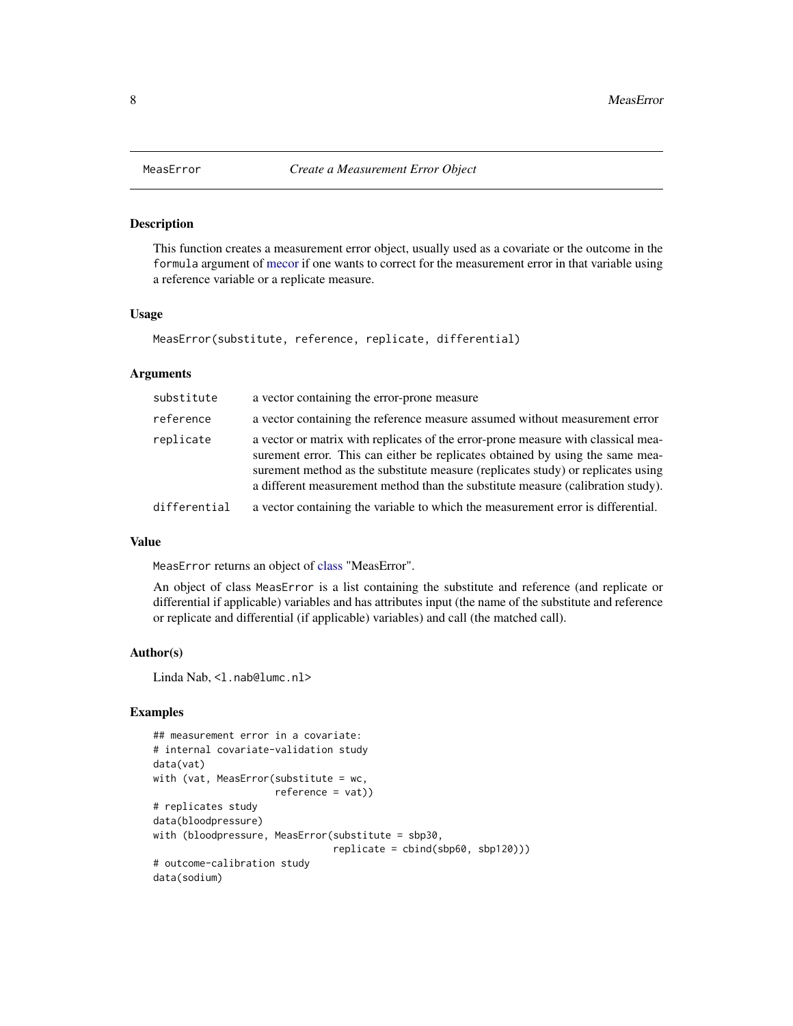This function creates a measurement error object, usually used as a covariate or the outcome in the formula argument of [mecor](#page-10-1) if one wants to correct for the measurement error in that variable using a reference variable or a replicate measure.

# Usage

```
MeasError(substitute, reference, replicate, differential)
```
#### Arguments

| substitute   | a vector containing the error-prone measure                                                                                                                                                                                                                                                                                               |
|--------------|-------------------------------------------------------------------------------------------------------------------------------------------------------------------------------------------------------------------------------------------------------------------------------------------------------------------------------------------|
| reference    | a vector containing the reference measure assumed without measurement error                                                                                                                                                                                                                                                               |
| replicate    | a vector or matrix with replicates of the error-prone measure with classical mea-<br>surement error. This can either be replicates obtained by using the same mea-<br>surement method as the substitute measure (replicates study) or replicates using<br>a different measurement method than the substitute measure (calibration study). |
| differential | a vector containing the variable to which the measurement error is differential.                                                                                                                                                                                                                                                          |

# Value

MeasError returns an object of [class](#page-0-0) "MeasError".

An object of class MeasError is a list containing the substitute and reference (and replicate or differential if applicable) variables and has attributes input (the name of the substitute and reference or replicate and differential (if applicable) variables) and call (the matched call).

#### Author(s)

Linda Nab, <1.nab@lumc.nl>

```
## measurement error in a covariate:
# internal covariate-validation study
data(vat)
with (vat, MeasError(substitute = wc,
                     reference = vat))
# replicates study
data(bloodpressure)
with (bloodpressure, MeasError(substitute = sbp30,
                               replicate = cbind(sbp60, sbp120)))
# outcome-calibration study
data(sodium)
```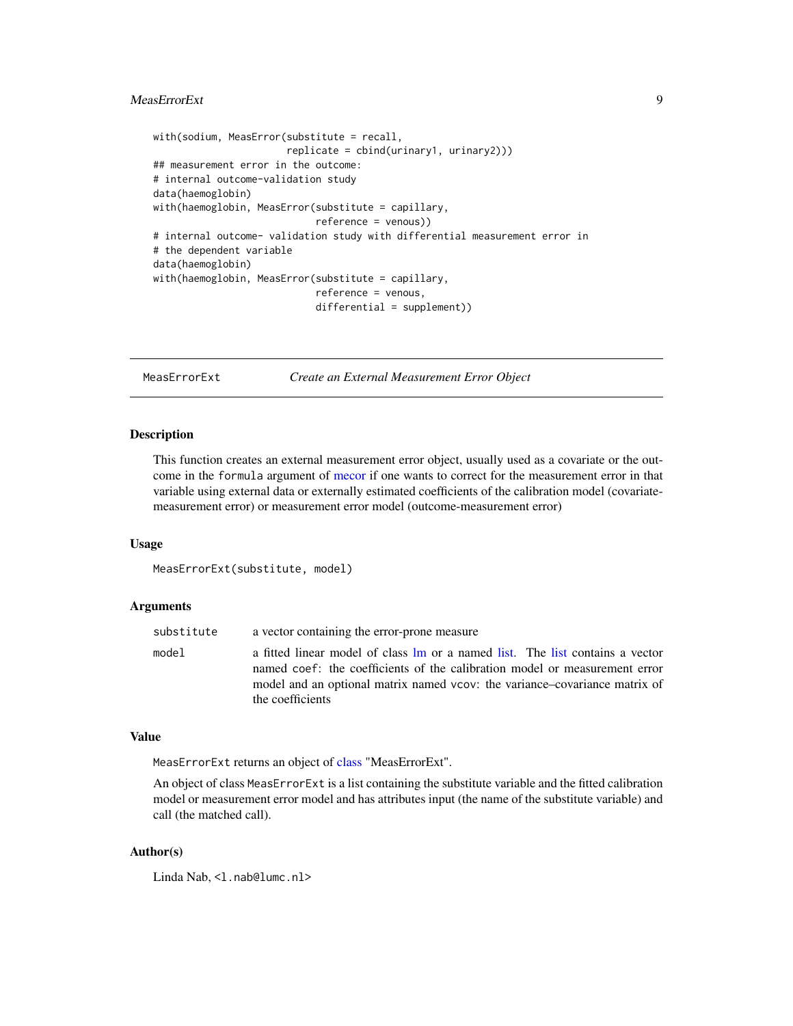# <span id="page-8-0"></span>MeasErrorExt 9

```
with(sodium, MeasError(substitute = recall,
                       replicate = cbind(urinary1, urinary2)))
## measurement error in the outcome:
# internal outcome-validation study
data(haemoglobin)
with(haemoglobin, MeasError(substitute = capillary,
                            reference = venous))
# internal outcome- validation study with differential measurement error in
# the dependent variable
data(haemoglobin)
with(haemoglobin, MeasError(substitute = capillary,
                            reference = venous,
                            differential = supplement))
```
<span id="page-8-1"></span>MeasErrorExt *Create an External Measurement Error Object*

# **Description**

This function creates an external measurement error object, usually used as a covariate or the outcome in the formula argument of [mecor](#page-10-1) if one wants to correct for the measurement error in that variable using external data or externally estimated coefficients of the calibration model (covariatemeasurement error) or measurement error model (outcome-measurement error)

#### Usage

```
MeasErrorExt(substitute, model)
```
# Arguments

| substitute | a vector containing the error-prone measure                                                                                                                                                                                                                   |
|------------|---------------------------------------------------------------------------------------------------------------------------------------------------------------------------------------------------------------------------------------------------------------|
| model      | a fitted linear model of class lm or a named list. The list contains a vector<br>named coef: the coefficients of the calibration model or measurement error<br>model and an optional matrix named vcov: the variance-covariance matrix of<br>the coefficients |
|            |                                                                                                                                                                                                                                                               |

#### Value

MeasErrorExt returns an object of [class](#page-0-0) "MeasErrorExt".

An object of class MeasErrorExt is a list containing the substitute variable and the fitted calibration model or measurement error model and has attributes input (the name of the substitute variable) and call (the matched call).

# Author(s)

Linda Nab, <1.nab@lumc.nl>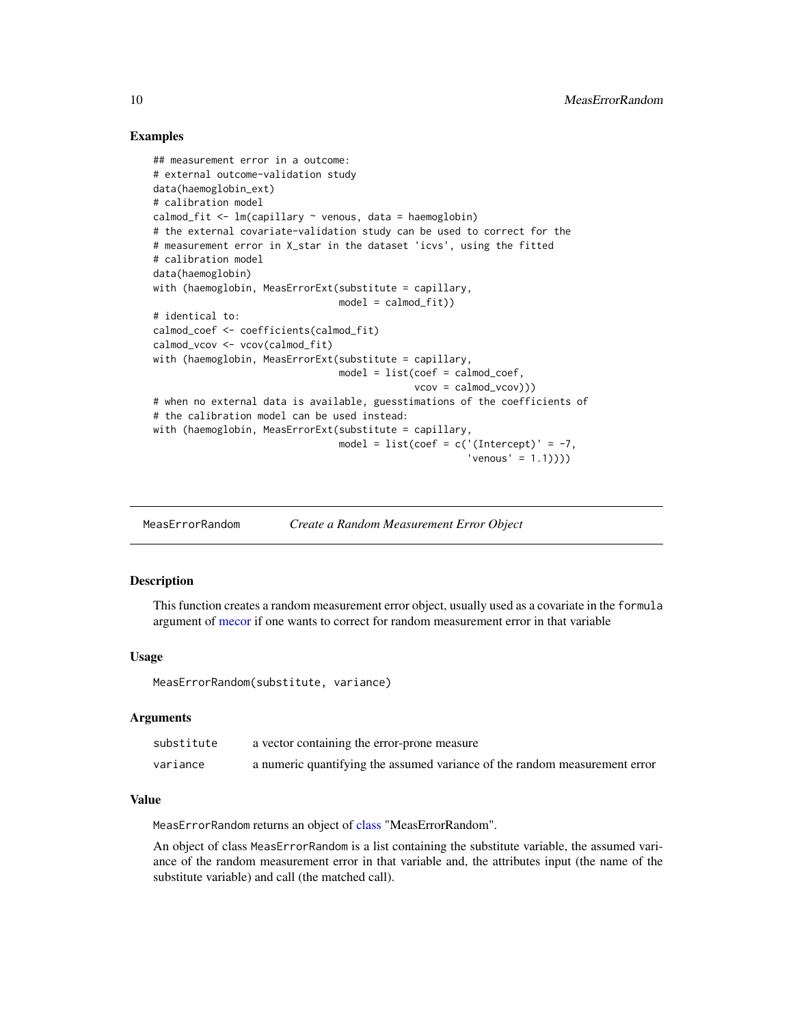# Examples

```
## measurement error in a outcome:
# external outcome-validation study
data(haemoglobin_ext)
# calibration model
calmod_fit <- lm(capillary ~ venous, data = haemoglobin)
# the external covariate-validation study can be used to correct for the
# measurement error in X_star in the dataset 'icvs', using the fitted
# calibration model
data(haemoglobin)
with (haemoglobin, MeasErrorExt(substitute = capillary,
                                model = calmod_fit)# identical to:
calmod_coef <- coefficients(calmod_fit)
calmod_vcov <- vcov(calmod_fit)
with (haemoglobin, MeasErrorExt(substitute = capillary,
                                model = list(coef = calmod_coef,vcov = calmod_vcov)))
# when no external data is available, guesstimations of the coefficients of
# the calibration model can be used instead:
with (haemoglobin, MeasErrorExt(substitute = capillary,
                                model = list(coef = c('(Intercept)' = -7,'venous' = 1.1))))
```
<span id="page-9-1"></span>MeasErrorRandom *Create a Random Measurement Error Object*

#### Description

This function creates a random measurement error object, usually used as a covariate in the formula argument of [mecor](#page-10-1) if one wants to correct for random measurement error in that variable

#### Usage

MeasErrorRandom(substitute, variance)

### Arguments

| substitute | a vector containing the error-prone measure                                |
|------------|----------------------------------------------------------------------------|
| variance   | a numeric quantifying the assumed variance of the random measurement error |

#### Value

MeasErrorRandom returns an object of [class](#page-0-0) "MeasErrorRandom".

An object of class MeasErrorRandom is a list containing the substitute variable, the assumed variance of the random measurement error in that variable and, the attributes input (the name of the substitute variable) and call (the matched call).

<span id="page-9-0"></span>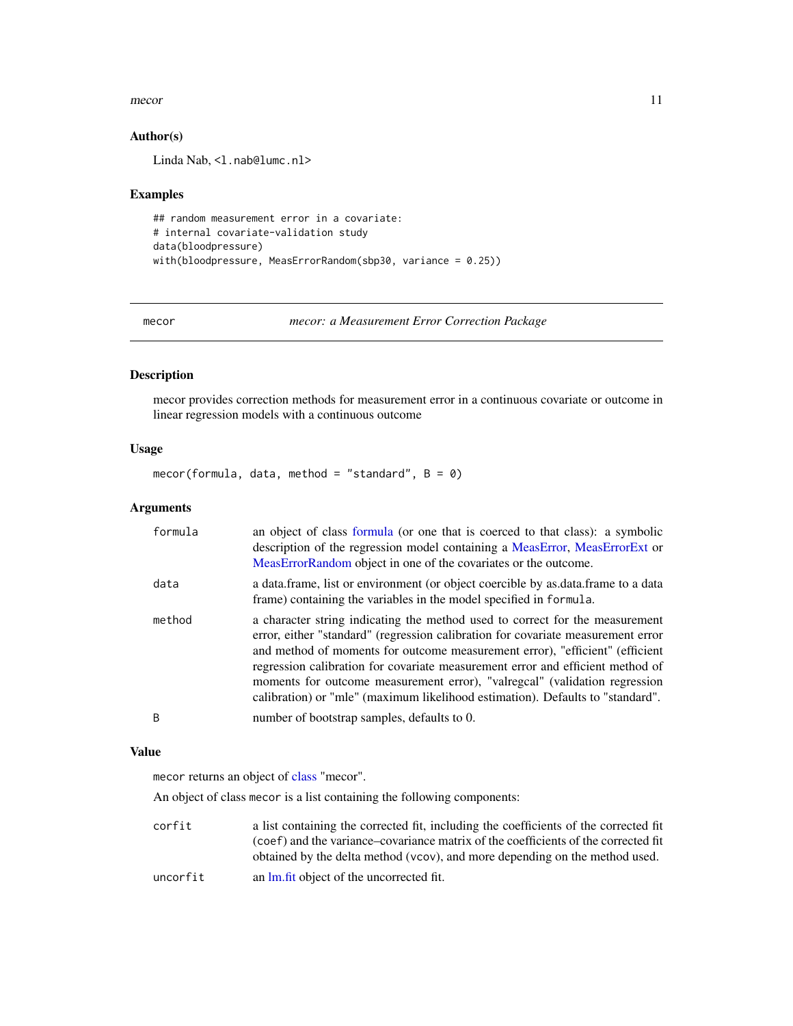#### <span id="page-10-0"></span>mecor and the contract of the contract of the contract of the contract of the contract of the contract of the contract of the contract of the contract of the contract of the contract of the contract of the contract of the

# Author(s)

Linda Nab, <1.nab@lumc.nl>

#### Examples

```
## random measurement error in a covariate:
# internal covariate-validation study
data(bloodpressure)
with(bloodpressure, MeasErrorRandom(sbp30, variance = 0.25))
```
<span id="page-10-1"></span>mecor *mecor: a Measurement Error Correction Package*

# Description

mecor provides correction methods for measurement error in a continuous covariate or outcome in linear regression models with a continuous outcome

# Usage

mecor(formula, data, method = "standard",  $B = 0$ )

#### Arguments

| formula | an object of class formula (or one that is coerced to that class): a symbolic<br>description of the regression model containing a MeasError, MeasErrorExt or<br>MeasErrorRandom object in one of the covariates or the outcome.                                                                                                                                                                                                                                                                    |
|---------|----------------------------------------------------------------------------------------------------------------------------------------------------------------------------------------------------------------------------------------------------------------------------------------------------------------------------------------------------------------------------------------------------------------------------------------------------------------------------------------------------|
| data    | a data frame, list or environment (or object coercible by as data frame to a data<br>frame) containing the variables in the model specified in formula.                                                                                                                                                                                                                                                                                                                                            |
| method  | a character string indicating the method used to correct for the measurement<br>error, either "standard" (regression calibration for covariate measurement error<br>and method of moments for outcome measurement error), "efficient" (efficient<br>regression calibration for covariate measurement error and efficient method of<br>moments for outcome measurement error), "valregcal" (validation regression<br>calibration) or "mle" (maximum likelihood estimation). Defaults to "standard". |
| B       | number of bootstrap samples, defaults to 0.                                                                                                                                                                                                                                                                                                                                                                                                                                                        |

#### Value

mecor returns an object of [class](#page-0-0) "mecor".

An object of class mecor is a list containing the following components:

| corfit   | a list containing the corrected fit, including the coefficients of the corrected fit |
|----------|--------------------------------------------------------------------------------------|
|          | (coef) and the variance–covariance matrix of the coefficients of the corrected fit   |
|          | obtained by the delta method (vcov), and more depending on the method used.          |
| uncorfit | an lm, fit object of the uncorrected fit.                                            |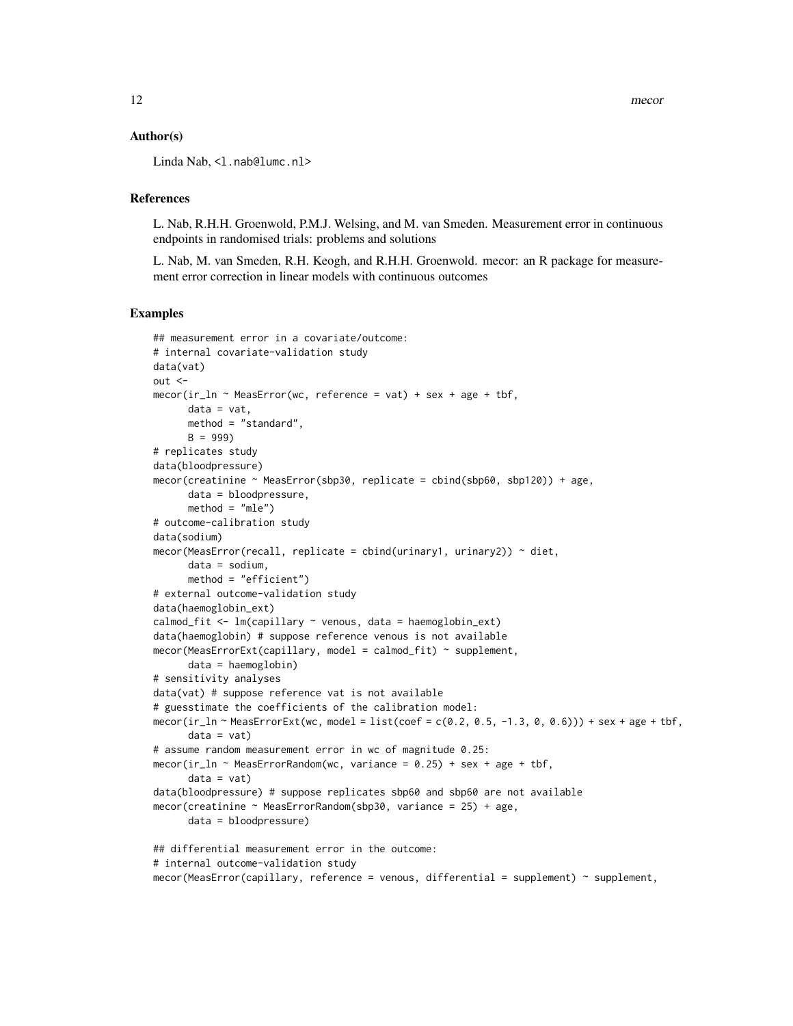# Author(s)

Linda Nab, <1.nab@lumc.nl>

# References

L. Nab, R.H.H. Groenwold, P.M.J. Welsing, and M. van Smeden. Measurement error in continuous endpoints in randomised trials: problems and solutions

L. Nab, M. van Smeden, R.H. Keogh, and R.H.H. Groenwold. mecor: an R package for measurement error correction in linear models with continuous outcomes

```
## measurement error in a covariate/outcome:
# internal covariate-validation study
data(vat)
out <mecor(ir_ln \sim MeasError(wc, reference = vat) + sex + age + tbf,data = vat,method = "standard",
      B = 999# replicates study
data(bloodpressure)
mecor(creatinine ~ MeasError(sbp30, replicate = cbind(sbp60, sbp120)) + age,
      data = bloodpressure,
      method = "mle")# outcome-calibration study
data(sodium)
mecor(MeasError(recall, replicate = cbind(urinary1, urinary2)) \sim diet,
      data = sodium,
      method = "efficient")
# external outcome-validation study
data(haemoglobin_ext)
calmod_fit <- lm(capillary ~ venous, data = haemoglobin_ext)
data(haemoglobin) # suppose reference venous is not available
mecor(MeasErrorExt(capillary, model = calmod_fit) ~ supplement,
      data = haemoglobin)
# sensitivity analyses
data(vat) # suppose reference vat is not available
# guesstimate the coefficients of the calibration model:
mecor(ir_ln ~ MeasErrorExt(wc, model = list(coef = c(0.2, 0.5, -1.3, 0, 0.6))) + sex + age + tbf,
      data = vat# assume random measurement error in wc of magnitude 0.25:
mecor(ir_ln \sim MeasErrorRandom(wc, variance = 0.25) + sex + age + tbf,data = vat)
data(bloodpressure) # suppose replicates sbp60 and sbp60 are not available
mecor(creatinine ~ MeasErrorRandom(sbp30, variance = 25) + age,
      data = bloodpressure)
## differential measurement error in the outcome:
# internal outcome-validation study
mecor(MeasError(capillary, reference = venous, differential = supplement) ~ support,
```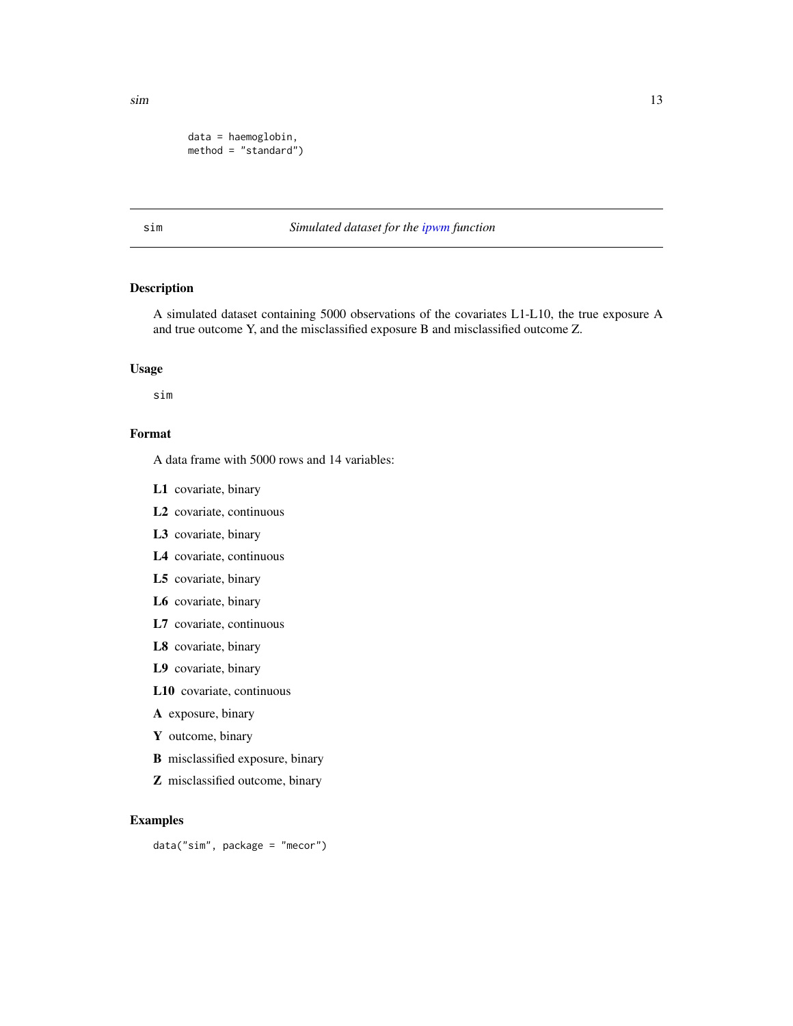<span id="page-12-0"></span> $\sin$  13

```
data = haemoglobin,
method = "standard")
```
# sim *Simulated dataset for the [ipwm](#page-4-1) function*

# Description

A simulated dataset containing 5000 observations of the covariates L1-L10, the true exposure A and true outcome Y, and the misclassified exposure B and misclassified outcome Z.

#### Usage

sim

# Format

A data frame with 5000 rows and 14 variables:

- L1 covariate, binary
- L2 covariate, continuous
- L3 covariate, binary
- L4 covariate, continuous
- L5 covariate, binary
- L6 covariate, binary
- L7 covariate, continuous
- L8 covariate, binary
- L9 covariate, binary
- L10 covariate, continuous
- A exposure, binary
- Y outcome, binary
- B misclassified exposure, binary
- Z misclassified outcome, binary

# Examples

data("sim", package = "mecor")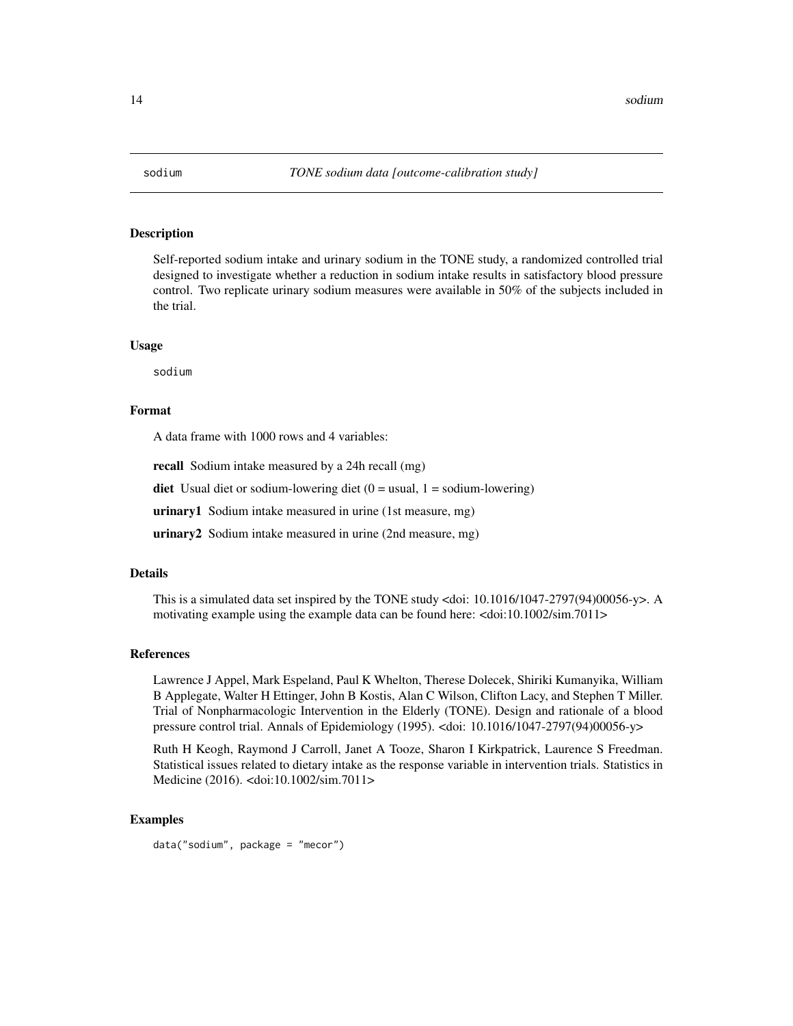<span id="page-13-0"></span>

Self-reported sodium intake and urinary sodium in the TONE study, a randomized controlled trial designed to investigate whether a reduction in sodium intake results in satisfactory blood pressure control. Two replicate urinary sodium measures were available in 50% of the subjects included in the trial.

#### Usage

sodium

#### Format

A data frame with 1000 rows and 4 variables:

recall Sodium intake measured by a 24h recall (mg)

**diet** Usual diet or sodium-lowering diet  $(0 = usual, 1 = sodium-lowering)$ 

urinary1 Sodium intake measured in urine (1st measure, mg)

urinary2 Sodium intake measured in urine (2nd measure, mg)

#### Details

This is a simulated data set inspired by the TONE study <doi: 10.1016/1047-2797(94)00056-y>. A motivating example using the example data can be found here: <doi:10.1002/sim.7011>

### References

Lawrence J Appel, Mark Espeland, Paul K Whelton, Therese Dolecek, Shiriki Kumanyika, William B Applegate, Walter H Ettinger, John B Kostis, Alan C Wilson, Clifton Lacy, and Stephen T Miller. Trial of Nonpharmacologic Intervention in the Elderly (TONE). Design and rationale of a blood pressure control trial. Annals of Epidemiology (1995). <doi: 10.1016/1047-2797(94)00056-y>

Ruth H Keogh, Raymond J Carroll, Janet A Tooze, Sharon I Kirkpatrick, Laurence S Freedman. Statistical issues related to dietary intake as the response variable in intervention trials. Statistics in Medicine (2016). <doi:10.1002/sim.7011>

# Examples

data("sodium", package = "mecor")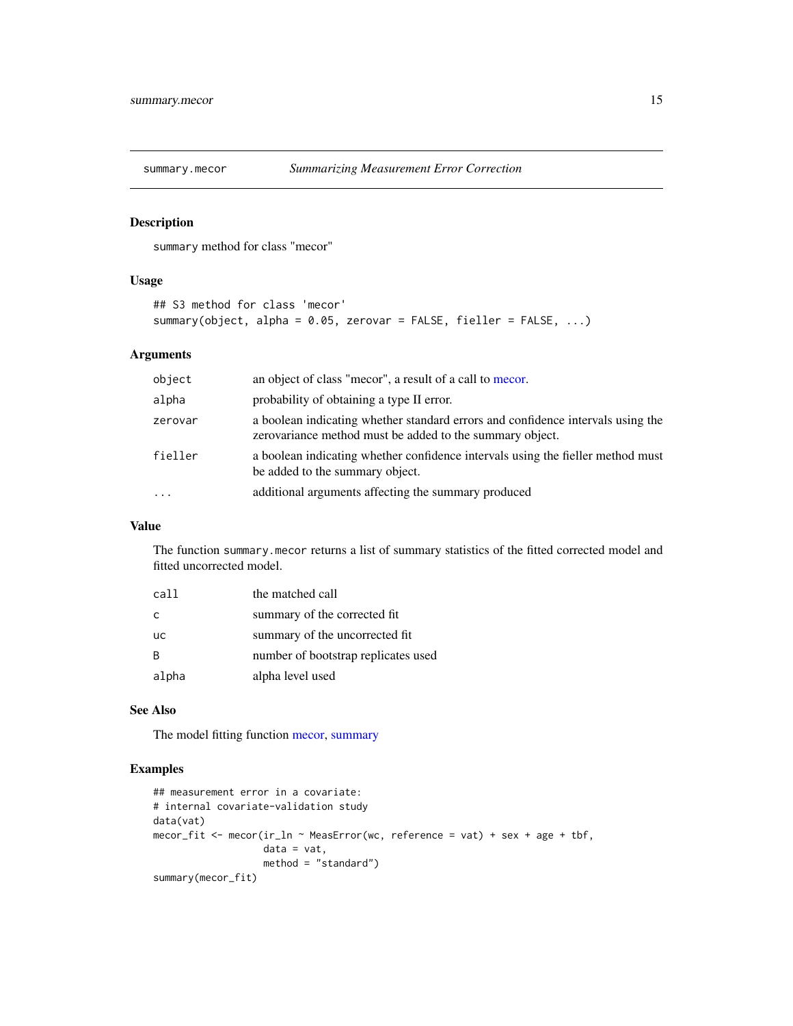<span id="page-14-0"></span>

summary method for class "mecor"

#### Usage

```
## S3 method for class 'mecor'
summary(object, alpha = 0.05, zerovar = FALSE, fieller = FALSE, ...)
```
# Arguments

| object                  | an object of class "mecor", a result of a call to mecor.                                                                                    |
|-------------------------|---------------------------------------------------------------------------------------------------------------------------------------------|
| alpha                   | probability of obtaining a type II error.                                                                                                   |
| zerovar                 | a boolean indicating whether standard errors and confidence intervals using the<br>zerovariance method must be added to the summary object. |
| fieller                 | a boolean indicating whether confidence intervals using the fieller method must<br>be added to the summary object.                          |
| $\cdot$ $\cdot$ $\cdot$ | additional arguments affecting the summary produced                                                                                         |

# Value

The function summary.mecor returns a list of summary statistics of the fitted corrected model and fitted uncorrected model.

| call      | the matched call                    |
|-----------|-------------------------------------|
| C         | summary of the corrected fit.       |
| <b>UC</b> | summary of the uncorrected fit      |
| B         | number of bootstrap replicates used |
| alpha     | alpha level used                    |

#### See Also

The model fitting function [mecor,](#page-10-1) [summary](#page-0-0)

```
## measurement error in a covariate:
# internal covariate-validation study
data(vat)
mecor_fit <- mecor(ir_ln ~ MeasError(wc, reference = vat) + sex + age + tbf,
                  data = vat,
                   method = "standard")
summary(mecor_fit)
```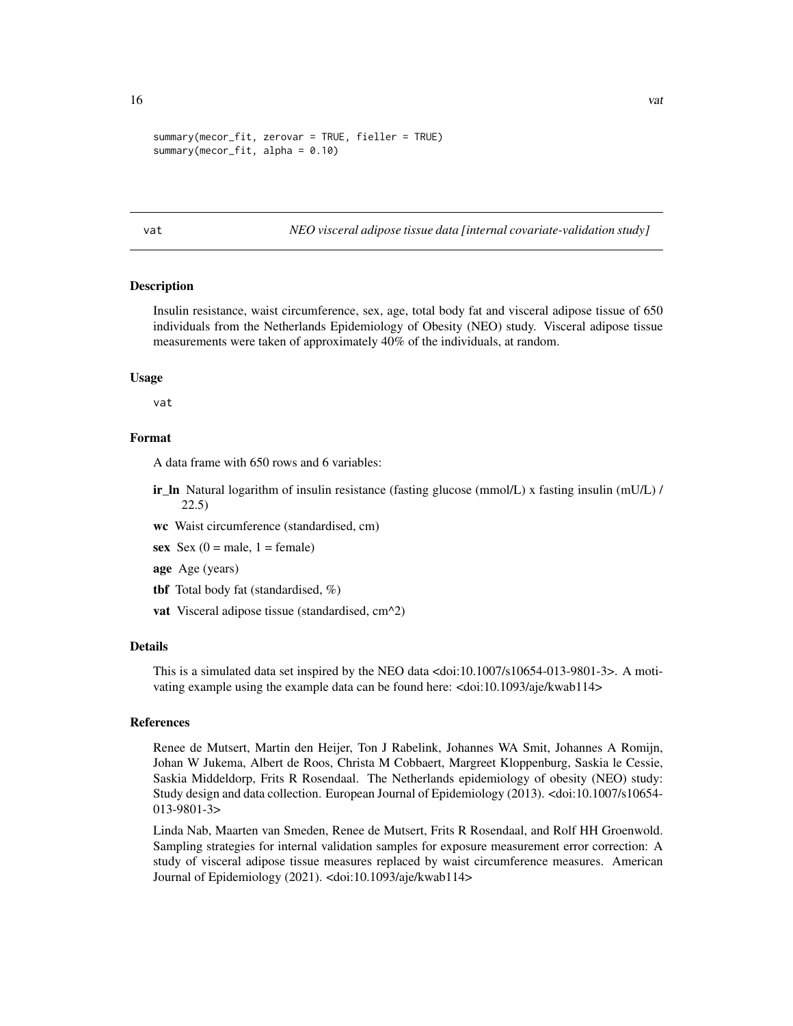```
summary(mecor_fit, zerovar = TRUE, fieller = TRUE)
summary(mecor_fit, alpha = 0.10)
```
vat *NEO visceral adipose tissue data [internal covariate-validation study]*

#### **Description**

Insulin resistance, waist circumference, sex, age, total body fat and visceral adipose tissue of 650 individuals from the Netherlands Epidemiology of Obesity (NEO) study. Visceral adipose tissue measurements were taken of approximately 40% of the individuals, at random.

# Usage

vat

#### Format

A data frame with 650 rows and 6 variables:

ir\_ln Natural logarithm of insulin resistance (fasting glucose (mmol/L) x fasting insulin (mU/L) / 22.5)

wc Waist circumference (standardised, cm)

- sex  $Sex(0) = male$ ,  $1 = female$ )
- age Age (years)
- tbf Total body fat (standardised, %)
- vat Visceral adipose tissue (standardised, cm^2)

#### Details

This is a simulated data set inspired by the NEO data <doi:10.1007/s10654-013-9801-3>. A motivating example using the example data can be found here: <doi:10.1093/aje/kwab114>

#### References

Renee de Mutsert, Martin den Heijer, Ton J Rabelink, Johannes WA Smit, Johannes A Romijn, Johan W Jukema, Albert de Roos, Christa M Cobbaert, Margreet Kloppenburg, Saskia le Cessie, Saskia Middeldorp, Frits R Rosendaal. The Netherlands epidemiology of obesity (NEO) study: Study design and data collection. European Journal of Epidemiology (2013). <doi:10.1007/s10654- 013-9801-3>

Linda Nab, Maarten van Smeden, Renee de Mutsert, Frits R Rosendaal, and Rolf HH Groenwold. Sampling strategies for internal validation samples for exposure measurement error correction: A study of visceral adipose tissue measures replaced by waist circumference measures. American Journal of Epidemiology (2021). <doi:10.1093/aje/kwab114>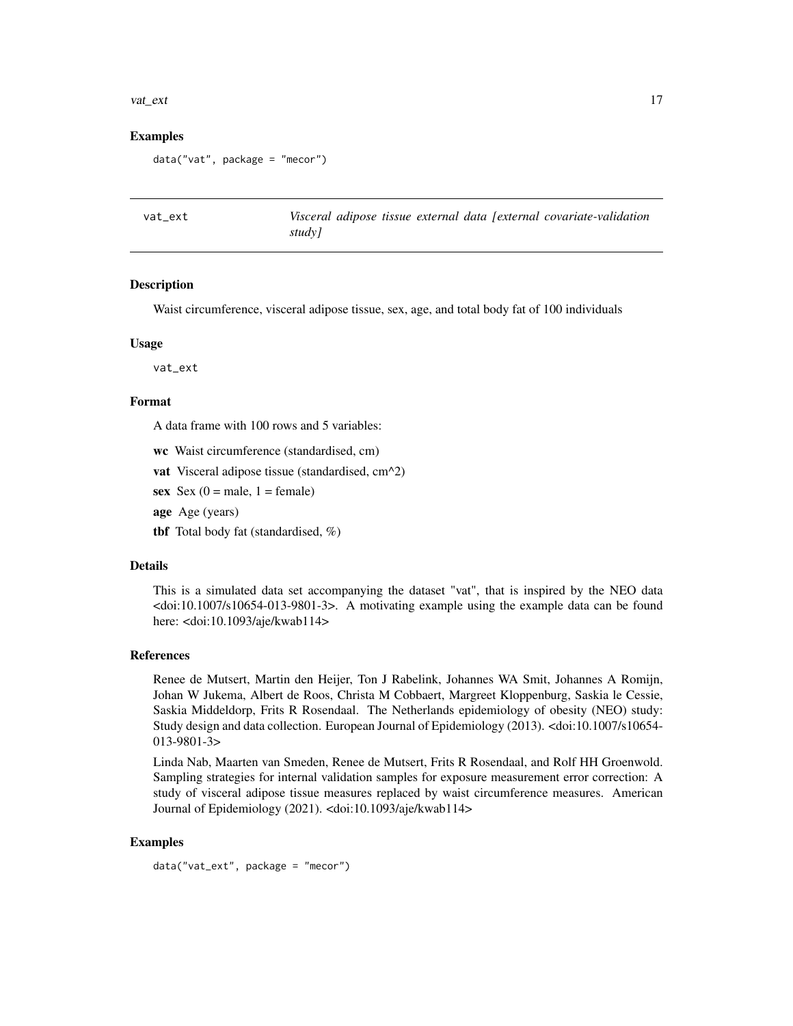#### <span id="page-16-0"></span>vat\_ext 17

#### Examples

```
data("vat", package = "mecor")
```
vat\_ext *Visceral adipose tissue external data [external covariate-validation study]*

# **Description**

Waist circumference, visceral adipose tissue, sex, age, and total body fat of 100 individuals

#### Usage

vat\_ext

#### Format

A data frame with 100 rows and 5 variables:

wc Waist circumference (standardised, cm)

- vat Visceral adipose tissue (standardised, cm^2)
- sex  $Sex(0 = male, 1 = female)$
- age Age (years)
- tbf Total body fat (standardised, %)

#### Details

This is a simulated data set accompanying the dataset "vat", that is inspired by the NEO data <doi:10.1007/s10654-013-9801-3>. A motivating example using the example data can be found here: <doi:10.1093/aje/kwab114>

#### References

Renee de Mutsert, Martin den Heijer, Ton J Rabelink, Johannes WA Smit, Johannes A Romijn, Johan W Jukema, Albert de Roos, Christa M Cobbaert, Margreet Kloppenburg, Saskia le Cessie, Saskia Middeldorp, Frits R Rosendaal. The Netherlands epidemiology of obesity (NEO) study: Study design and data collection. European Journal of Epidemiology (2013). <doi:10.1007/s10654- 013-9801-3>

Linda Nab, Maarten van Smeden, Renee de Mutsert, Frits R Rosendaal, and Rolf HH Groenwold. Sampling strategies for internal validation samples for exposure measurement error correction: A study of visceral adipose tissue measures replaced by waist circumference measures. American Journal of Epidemiology (2021). <doi:10.1093/aje/kwab114>

# Examples

data("vat\_ext", package = "mecor")